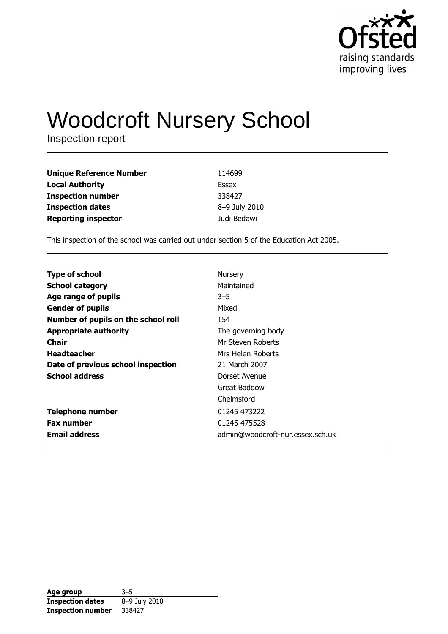

# **Woodcroft Nursery School**

Inspection report

| <b>Unique Reference Number</b> | 114699        |
|--------------------------------|---------------|
| <b>Local Authority</b>         | Essex         |
| <b>Inspection number</b>       | 338427        |
| <b>Inspection dates</b>        | 8-9 July 2010 |
| <b>Reporting inspector</b>     | Judi Bedawi   |

This inspection of the school was carried out under section 5 of the Education Act 2005.

| <b>Type of school</b>               | Nursery                          |
|-------------------------------------|----------------------------------|
|                                     |                                  |
| <b>School category</b>              | Maintained                       |
| Age range of pupils                 | 3–5                              |
| <b>Gender of pupils</b>             | Mixed                            |
| Number of pupils on the school roll | 154                              |
| <b>Appropriate authority</b>        | The governing body               |
| Chair                               | Mr Steven Roberts                |
| <b>Headteacher</b>                  | Mrs Helen Roberts                |
| Date of previous school inspection  | 21 March 2007                    |
| <b>School address</b>               | Dorset Avenue                    |
|                                     | Great Baddow                     |
|                                     | Chelmsford                       |
| <b>Telephone number</b>             | 01245 473222                     |
| <b>Fax number</b>                   | 01245 475528                     |
| <b>Email address</b>                | admin@woodcroft-nur.essex.sch.uk |

| Age group                | $3 - 5$       |
|--------------------------|---------------|
| <b>Inspection dates</b>  | 8-9 July 2010 |
| <b>Inspection number</b> | 338427        |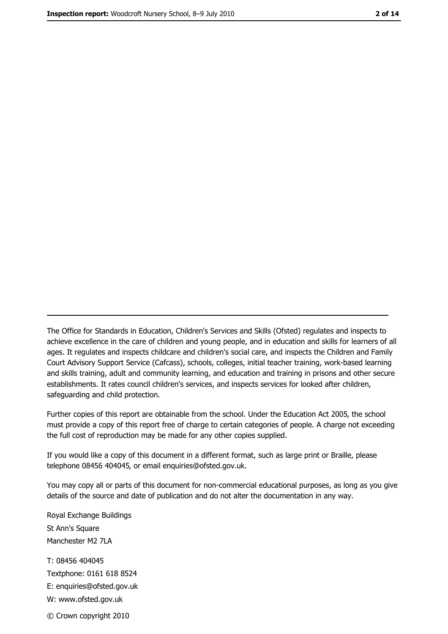The Office for Standards in Education, Children's Services and Skills (Ofsted) regulates and inspects to achieve excellence in the care of children and young people, and in education and skills for learners of all ages. It regulates and inspects childcare and children's social care, and inspects the Children and Family Court Advisory Support Service (Cafcass), schools, colleges, initial teacher training, work-based learning and skills training, adult and community learning, and education and training in prisons and other secure establishments. It rates council children's services, and inspects services for looked after children, safequarding and child protection.

Further copies of this report are obtainable from the school. Under the Education Act 2005, the school must provide a copy of this report free of charge to certain categories of people. A charge not exceeding the full cost of reproduction may be made for any other copies supplied.

If you would like a copy of this document in a different format, such as large print or Braille, please telephone 08456 404045, or email enquiries@ofsted.gov.uk.

You may copy all or parts of this document for non-commercial educational purposes, as long as you give details of the source and date of publication and do not alter the documentation in any way.

Royal Exchange Buildings St Ann's Square Manchester M2 7LA T: 08456 404045 Textphone: 0161 618 8524 E: enquiries@ofsted.gov.uk W: www.ofsted.gov.uk © Crown copyright 2010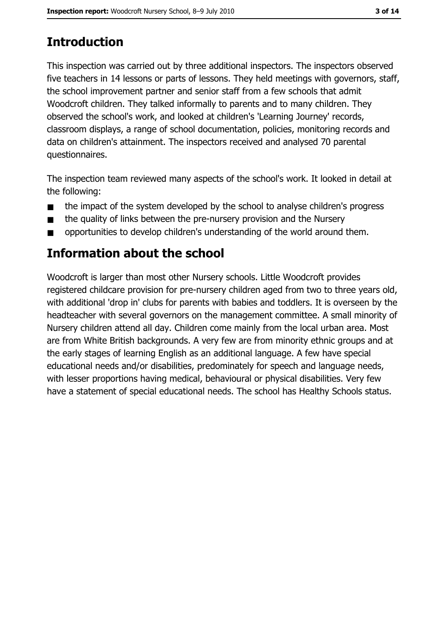# **Introduction**

This inspection was carried out by three additional inspectors. The inspectors observed five teachers in 14 lessons or parts of lessons. They held meetings with governors, staff, the school improvement partner and senior staff from a few schools that admit Woodcroft children. They talked informally to parents and to many children. They observed the school's work, and looked at children's 'Learning Journey' records, classroom displays, a range of school documentation, policies, monitoring records and data on children's attainment. The inspectors received and analysed 70 parental questionnaires.

The inspection team reviewed many aspects of the school's work. It looked in detail at the following:

- the impact of the system developed by the school to analyse children's progress  $\blacksquare$
- the quality of links between the pre-nursery provision and the Nursery  $\blacksquare$
- opportunities to develop children's understanding of the world around them.  $\blacksquare$

## **Information about the school**

Woodcroft is larger than most other Nursery schools. Little Woodcroft provides registered childcare provision for pre-nursery children aged from two to three years old, with additional 'drop in' clubs for parents with babies and toddlers. It is overseen by the headteacher with several governors on the management committee. A small minority of Nursery children attend all day. Children come mainly from the local urban area. Most are from White British backgrounds. A very few are from minority ethnic groups and at the early stages of learning English as an additional language. A few have special educational needs and/or disabilities, predominately for speech and language needs, with lesser proportions having medical, behavioural or physical disabilities. Very few have a statement of special educational needs. The school has Healthy Schools status.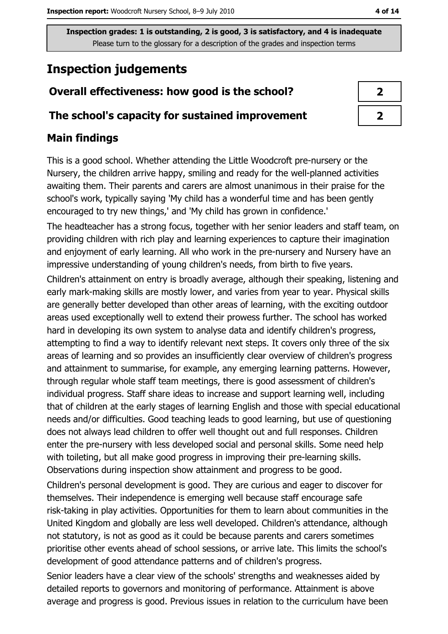## **Inspection judgements**

## Overall effectiveness: how good is the school?

#### The school's capacity for sustained improvement

### **Main findings**

This is a good school. Whether attending the Little Woodcroft pre-nursery or the Nursery, the children arrive happy, smiling and ready for the well-planned activities awaiting them. Their parents and carers are almost unanimous in their praise for the school's work, typically saying 'My child has a wonderful time and has been gently encouraged to try new things,' and 'My child has grown in confidence.'

The headteacher has a strong focus, together with her senior leaders and staff team, on providing children with rich play and learning experiences to capture their imagination and enjoyment of early learning. All who work in the pre-nursery and Nursery have an impressive understanding of young children's needs, from birth to five years.

Children's attainment on entry is broadly average, although their speaking, listening and early mark-making skills are mostly lower, and varies from year to year. Physical skills are generally better developed than other areas of learning, with the exciting outdoor areas used exceptionally well to extend their prowess further. The school has worked hard in developing its own system to analyse data and identify children's progress, attempting to find a way to identify relevant next steps. It covers only three of the six areas of learning and so provides an insufficiently clear overview of children's progress and attainment to summarise, for example, any emerging learning patterns. However, through regular whole staff team meetings, there is good assessment of children's individual progress. Staff share ideas to increase and support learning well, including that of children at the early stages of learning English and those with special educational needs and/or difficulties. Good teaching leads to good learning, but use of questioning does not always lead children to offer well thought out and full responses. Children enter the pre-nursery with less developed social and personal skills. Some need help with toileting, but all make good progress in improving their pre-learning skills. Observations during inspection show attainment and progress to be good.

Children's personal development is good. They are curious and eager to discover for themselves. Their independence is emerging well because staff encourage safe risk-taking in play activities. Opportunities for them to learn about communities in the United Kingdom and globally are less well developed. Children's attendance, although not statutory, is not as good as it could be because parents and carers sometimes prioritise other events ahead of school sessions, or arrive late. This limits the school's development of good attendance patterns and of children's progress.

Senior leaders have a clear view of the schools' strengths and weaknesses aided by detailed reports to governors and monitoring of performance. Attainment is above average and progress is good. Previous issues in relation to the curriculum have been

| I |
|---|
|   |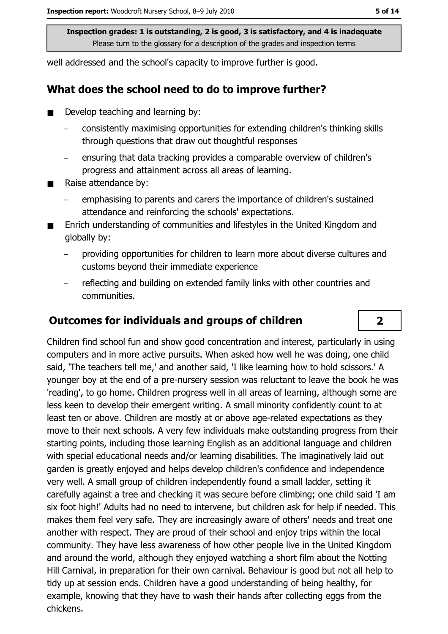well addressed and the school's capacity to improve further is good.

#### What does the school need to do to improve further?

- Develop teaching and learning by:
	- consistently maximising opportunities for extending children's thinking skills through questions that draw out thoughtful responses
	- ensuring that data tracking provides a comparable overview of children's progress and attainment across all areas of learning.
- Raise attendance by:  $\blacksquare$ 
	- emphasising to parents and carers the importance of children's sustained attendance and reinforcing the schools' expectations.
- Enrich understanding of communities and lifestyles in the United Kingdom and globally by:
	- providing opportunities for children to learn more about diverse cultures and customs beyond their immediate experience
	- reflecting and building on extended family links with other countries and communities.

#### **Outcomes for individuals and groups of children**

Children find school fun and show good concentration and interest, particularly in using computers and in more active pursuits. When asked how well he was doing, one child said, 'The teachers tell me,' and another said, 'I like learning how to hold scissors.' A younger boy at the end of a pre-nursery session was reluctant to leave the book he was 'reading', to go home. Children progress well in all areas of learning, although some are less keen to develop their emergent writing. A small minority confidently count to at least ten or above. Children are mostly at or above age-related expectations as they move to their next schools. A very few individuals make outstanding progress from their starting points, including those learning English as an additional language and children with special educational needs and/or learning disabilities. The imaginatively laid out garden is greatly enjoyed and helps develop children's confidence and independence very well. A small group of children independently found a small ladder, setting it carefully against a tree and checking it was secure before climbing; one child said 'I am six foot high!' Adults had no need to intervene, but children ask for help if needed. This makes them feel very safe. They are increasingly aware of others' needs and treat one another with respect. They are proud of their school and enjoy trips within the local community. They have less awareness of how other people live in the United Kingdom and around the world, although they enjoyed watching a short film about the Notting Hill Carnival, in preparation for their own carnival. Behaviour is good but not all help to tidy up at session ends. Children have a good understanding of being healthy, for example, knowing that they have to wash their hands after collecting eggs from the chickens.

 $\overline{\mathbf{2}}$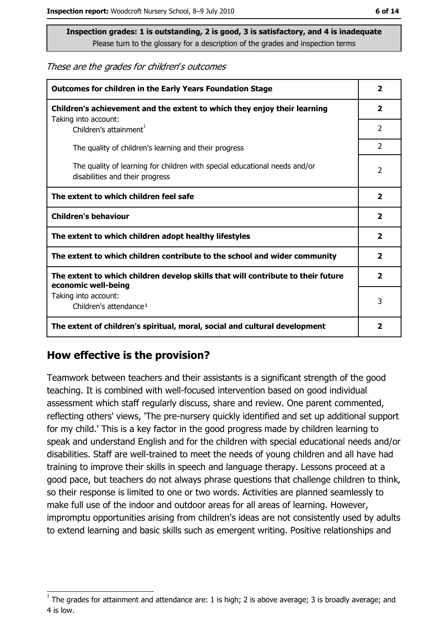#### These are the grades for children's outcomes

| <b>Outcomes for children in the Early Years Foundation Stage</b>                                              |                         |
|---------------------------------------------------------------------------------------------------------------|-------------------------|
| Children's achievement and the extent to which they enjoy their learning                                      | $\overline{\mathbf{2}}$ |
| Taking into account:<br>Children's attainment <sup>1</sup>                                                    | 2                       |
| The quality of children's learning and their progress                                                         | $\overline{2}$          |
| The quality of learning for children with special educational needs and/or<br>disabilities and their progress | $\overline{2}$          |
| The extent to which children feel safe                                                                        |                         |
| <b>Children's behaviour</b>                                                                                   |                         |
| The extent to which children adopt healthy lifestyles                                                         | $\mathbf{2}$            |
| The extent to which children contribute to the school and wider community                                     |                         |
| The extent to which children develop skills that will contribute to their future<br>economic well-being       |                         |
| Taking into account:<br>Children's attendance <sup>1</sup>                                                    | 3                       |
| The extent of children's spiritual, moral, social and cultural development                                    | $\overline{\mathbf{2}}$ |

#### How effective is the provision?

Teamwork between teachers and their assistants is a significant strength of the good teaching. It is combined with well-focused intervention based on good individual assessment which staff regularly discuss, share and review. One parent commented, reflecting others' views, 'The pre-nursery quickly identified and set up additional support for my child.' This is a key factor in the good progress made by children learning to speak and understand English and for the children with special educational needs and/or disabilities. Staff are well-trained to meet the needs of young children and all have had training to improve their skills in speech and language therapy. Lessons proceed at a good pace, but teachers do not always phrase questions that challenge children to think, so their response is limited to one or two words. Activities are planned seamlessly to make full use of the indoor and outdoor areas for all areas of learning. However, impromptu opportunities arising from children's ideas are not consistently used by adults to extend learning and basic skills such as emergent writing. Positive relationships and

The grades for attainment and attendance are: 1 is high; 2 is above average; 3 is broadly average; and 4 is low.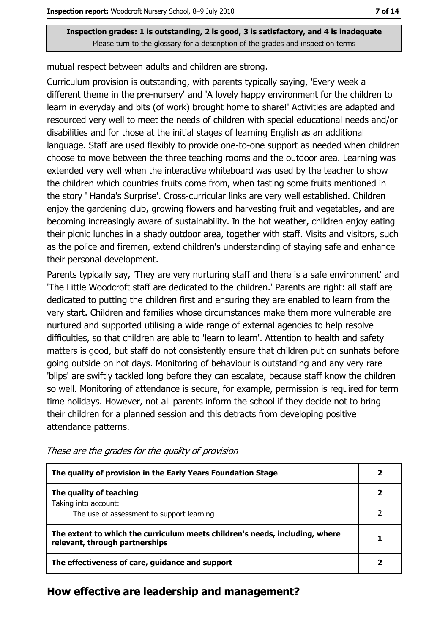mutual respect between adults and children are strong.

Curriculum provision is outstanding, with parents typically saying, 'Every week a different theme in the pre-nursery' and 'A lovely happy environment for the children to learn in everyday and bits (of work) brought home to share!' Activities are adapted and resourced very well to meet the needs of children with special educational needs and/or disabilities and for those at the initial stages of learning English as an additional language. Staff are used flexibly to provide one-to-one support as needed when children choose to move between the three teaching rooms and the outdoor area. Learning was extended very well when the interactive whiteboard was used by the teacher to show the children which countries fruits come from, when tasting some fruits mentioned in the story 'Handa's Surprise'. Cross-curricular links are very well established. Children enjoy the gardening club, growing flowers and harvesting fruit and vegetables, and are becoming increasingly aware of sustainability. In the hot weather, children enjoy eating their picnic lunches in a shady outdoor area, together with staff. Visits and visitors, such as the police and firemen, extend children's understanding of staying safe and enhance their personal development.

Parents typically say, 'They are very nurturing staff and there is a safe environment' and 'The Little Woodcroft staff are dedicated to the children.' Parents are right: all staff are dedicated to putting the children first and ensuring they are enabled to learn from the very start. Children and families whose circumstances make them more vulnerable are nurtured and supported utilising a wide range of external agencies to help resolve difficulties, so that children are able to 'learn to learn'. Attention to health and safety matters is good, but staff do not consistently ensure that children put on sunhats before going outside on hot days. Monitoring of behaviour is outstanding and any very rare 'blips' are swiftly tackled long before they can escalate, because staff know the children so well. Monitoring of attendance is secure, for example, permission is required for term time holidays. However, not all parents inform the school if they decide not to bring their children for a planned session and this detracts from developing positive attendance patterns.

| The quality of provision in the Early Years Foundation Stage                                                  |  |
|---------------------------------------------------------------------------------------------------------------|--|
| The quality of teaching                                                                                       |  |
| Taking into account:<br>The use of assessment to support learning                                             |  |
| The extent to which the curriculum meets children's needs, including, where<br>relevant, through partnerships |  |
| The effectiveness of care, guidance and support                                                               |  |

These are the grades for the quality of provision

#### How effective are leadership and management?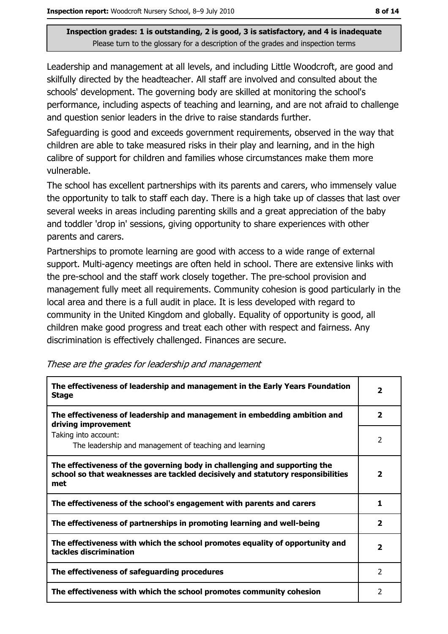Leadership and management at all levels, and including Little Woodcroft, are good and skilfully directed by the headteacher. All staff are involved and consulted about the schools' development. The governing body are skilled at monitoring the school's performance, including aspects of teaching and learning, and are not afraid to challenge and question senior leaders in the drive to raise standards further.

Safeguarding is good and exceeds government requirements, observed in the way that children are able to take measured risks in their play and learning, and in the high calibre of support for children and families whose circumstances make them more vulnerable.

The school has excellent partnerships with its parents and carers, who immensely value the opportunity to talk to staff each day. There is a high take up of classes that last over several weeks in areas including parenting skills and a great appreciation of the baby and toddler 'drop in' sessions, giving opportunity to share experiences with other parents and carers.

Partnerships to promote learning are good with access to a wide range of external support. Multi-agency meetings are often held in school. There are extensive links with the pre-school and the staff work closely together. The pre-school provision and management fully meet all requirements. Community cohesion is good particularly in the local area and there is a full audit in place. It is less developed with regard to community in the United Kingdom and globally. Equality of opportunity is good, all children make good progress and treat each other with respect and fairness. Any discrimination is effectively challenged. Finances are secure.

| The effectiveness of leadership and management in the Early Years Foundation<br><b>Stage</b>                                                                        | $\mathbf{2}$             |
|---------------------------------------------------------------------------------------------------------------------------------------------------------------------|--------------------------|
| The effectiveness of leadership and management in embedding ambition and<br>driving improvement                                                                     | $\mathbf{2}$             |
| Taking into account:<br>The leadership and management of teaching and learning                                                                                      | 2                        |
| The effectiveness of the governing body in challenging and supporting the<br>school so that weaknesses are tackled decisively and statutory responsibilities<br>met | $\overline{\mathbf{2}}$  |
| The effectiveness of the school's engagement with parents and carers                                                                                                | 1                        |
| The effectiveness of partnerships in promoting learning and well-being                                                                                              | $\overline{2}$           |
| The effectiveness with which the school promotes equality of opportunity and<br>tackles discrimination                                                              | $\overline{\mathbf{2}}$  |
| The effectiveness of safeguarding procedures                                                                                                                        | 2                        |
| The effectiveness with which the school promotes community cohesion                                                                                                 | $\overline{\phantom{a}}$ |

These are the grades for leadership and management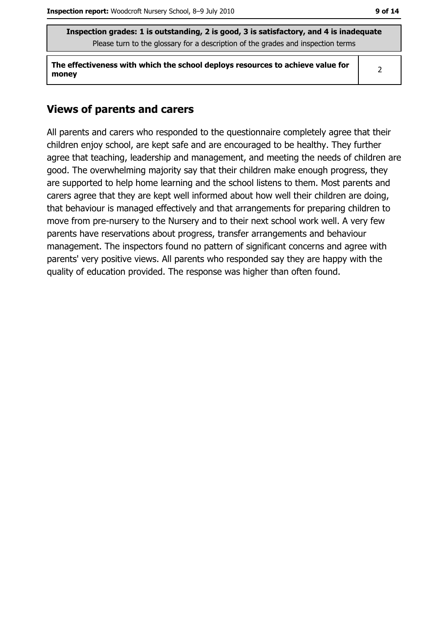The effectiveness with which the school deploys resources to achieve value for money

 $\overline{2}$ 

#### **Views of parents and carers**

All parents and carers who responded to the questionnaire completely agree that their children enjoy school, are kept safe and are encouraged to be healthy. They further agree that teaching, leadership and management, and meeting the needs of children are good. The overwhelming majority say that their children make enough progress, they are supported to help home learning and the school listens to them. Most parents and carers agree that they are kept well informed about how well their children are doing, that behaviour is managed effectively and that arrangements for preparing children to move from pre-nursery to the Nursery and to their next school work well. A very few parents have reservations about progress, transfer arrangements and behaviour management. The inspectors found no pattern of significant concerns and agree with parents' very positive views. All parents who responded say they are happy with the quality of education provided. The response was higher than often found.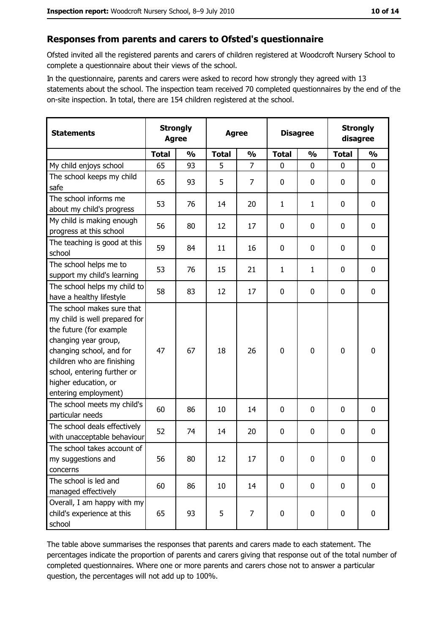#### Responses from parents and carers to Ofsted's questionnaire

Ofsted invited all the registered parents and carers of children registered at Woodcroft Nursery School to complete a questionnaire about their views of the school.

In the questionnaire, parents and carers were asked to record how strongly they agreed with 13 statements about the school. The inspection team received 70 completed questionnaires by the end of the on-site inspection. In total, there are 154 children registered at the school.

| <b>Statements</b>                                                                                                                                                                                                                                       | <b>Strongly</b><br><b>Agree</b> |               | <b>Agree</b> |                |              | <b>Disagree</b> |              | <b>Strongly</b><br>disagree |  |
|---------------------------------------------------------------------------------------------------------------------------------------------------------------------------------------------------------------------------------------------------------|---------------------------------|---------------|--------------|----------------|--------------|-----------------|--------------|-----------------------------|--|
|                                                                                                                                                                                                                                                         | <b>Total</b>                    | $\frac{0}{0}$ | <b>Total</b> | $\frac{0}{0}$  | <b>Total</b> | $\frac{0}{0}$   | <b>Total</b> | $\frac{0}{0}$               |  |
| My child enjoys school                                                                                                                                                                                                                                  | 65                              | 93            | 5            | $\overline{7}$ | $\mathbf 0$  | 0               | $\mathbf{0}$ | $\mathbf 0$                 |  |
| The school keeps my child<br>safe                                                                                                                                                                                                                       | 65                              | 93            | 5            | $\overline{7}$ | $\mathbf 0$  | 0               | 0            | $\bf{0}$                    |  |
| The school informs me<br>about my child's progress                                                                                                                                                                                                      | 53                              | 76            | 14           | 20             | $\mathbf{1}$ | $\mathbf{1}$    | 0            | 0                           |  |
| My child is making enough<br>progress at this school                                                                                                                                                                                                    | 56                              | 80            | 12           | 17             | $\mathbf 0$  | 0               | 0            | $\mathbf 0$                 |  |
| The teaching is good at this<br>school                                                                                                                                                                                                                  | 59                              | 84            | 11           | 16             | 0            | 0               | 0            | $\mathbf 0$                 |  |
| The school helps me to<br>support my child's learning                                                                                                                                                                                                   | 53                              | 76            | 15           | 21             | 1            | $\mathbf{1}$    | 0            | $\mathbf 0$                 |  |
| The school helps my child to<br>have a healthy lifestyle                                                                                                                                                                                                | 58                              | 83            | 12           | 17             | $\mathbf 0$  | 0               | 0            | $\mathbf 0$                 |  |
| The school makes sure that<br>my child is well prepared for<br>the future (for example<br>changing year group,<br>changing school, and for<br>children who are finishing<br>school, entering further or<br>higher education, or<br>entering employment) | 47                              | 67            | 18           | 26             | $\mathbf 0$  | 0               | 0            | $\mathbf 0$                 |  |
| The school meets my child's<br>particular needs                                                                                                                                                                                                         | 60                              | 86            | 10           | 14             | 0            | 0               | 0            | $\bf{0}$                    |  |
| The school deals effectively<br>with unacceptable behaviour                                                                                                                                                                                             | 52                              | 74            | 14           | 20             | $\bf{0}$     | 0               | 0            | 0                           |  |
| The school takes account of<br>my suggestions and<br>concerns                                                                                                                                                                                           | 56                              | 80            | 12           | 17             | $\mathbf 0$  | 0               | $\mathbf 0$  | $\mathbf 0$                 |  |
| The school is led and<br>managed effectively                                                                                                                                                                                                            | 60                              | 86            | 10           | 14             | $\mathbf 0$  | 0               | $\mathbf 0$  | $\mathbf 0$                 |  |
| Overall, I am happy with my<br>child's experience at this<br>school                                                                                                                                                                                     | 65                              | 93            | 5            | 7              | $\bf{0}$     | 0               | 0            | $\mathbf 0$                 |  |

The table above summarises the responses that parents and carers made to each statement. The percentages indicate the proportion of parents and carers giving that response out of the total number of completed questionnaires. Where one or more parents and carers chose not to answer a particular question, the percentages will not add up to 100%.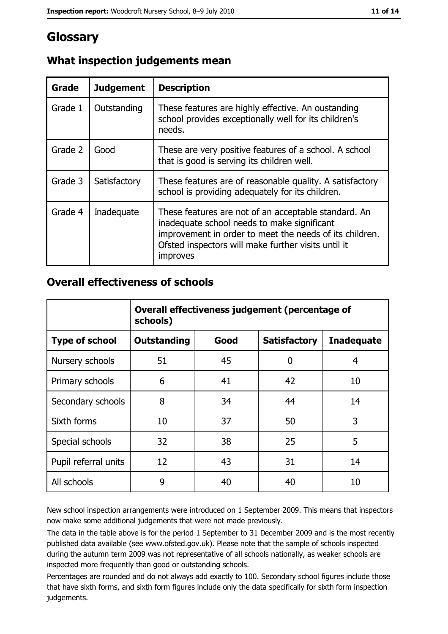## Glossary

| Grade   | <b>Judgement</b> | <b>Description</b>                                                                                                                                                                                                                |
|---------|------------------|-----------------------------------------------------------------------------------------------------------------------------------------------------------------------------------------------------------------------------------|
| Grade 1 | Outstanding      | These features are highly effective. An oustanding<br>school provides exceptionally well for its children's<br>needs.                                                                                                             |
| Grade 2 | Good             | These are very positive features of a school. A school<br>that is good is serving its children well.                                                                                                                              |
| Grade 3 | Satisfactory     | These features are of reasonable quality. A satisfactory<br>school is providing adequately for its children.                                                                                                                      |
| Grade 4 | Inadequate       | These features are not of an acceptable standard. An<br>inadequate school needs to make significant<br>improvement in order to meet the needs of its children.<br>Ofsted inspectors will make further visits until it<br>improves |

#### What inspection judgements mean

#### **Overall effectiveness of schools**

|                       | Overall effectiveness judgement (percentage of<br>schools) |      |                     |                   |
|-----------------------|------------------------------------------------------------|------|---------------------|-------------------|
| <b>Type of school</b> | <b>Outstanding</b>                                         | Good | <b>Satisfactory</b> | <b>Inadequate</b> |
| Nursery schools       | 51                                                         | 45   | 0                   | 4                 |
| Primary schools       | 6                                                          | 41   | 42                  | 10                |
| Secondary schools     | 8                                                          | 34   | 44                  | 14                |
| Sixth forms           | 10                                                         | 37   | 50                  | 3                 |
| Special schools       | 32                                                         | 38   | 25                  | 5                 |
| Pupil referral units  | 12                                                         | 43   | 31                  | 14                |
| All schools           | 9                                                          | 40   | 40                  | 10                |

New school inspection arrangements were introduced on 1 September 2009. This means that inspectors now make some additional judgements that were not made previously.

The data in the table above is for the period 1 September to 31 December 2009 and is the most recently published data available (see www.ofsted.gov.uk). Please note that the sample of schools inspected during the autumn term 2009 was not representative of all schools nationally, as weaker schools are inspected more frequently than good or outstanding schools.

Percentages are rounded and do not always add exactly to 100. Secondary school figures include those that have sixth forms, and sixth form figures include only the data specifically for sixth form inspection judgements.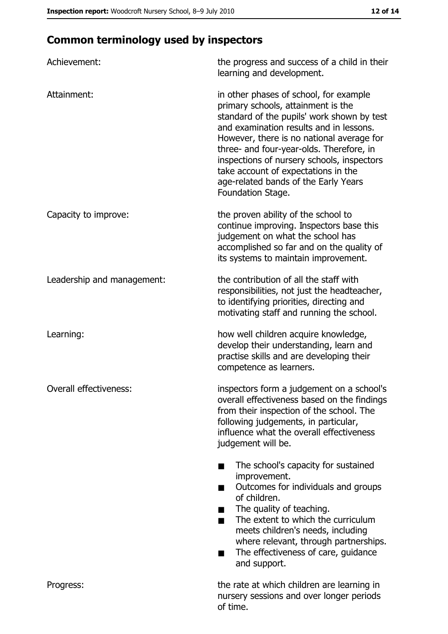## **Common terminology used by inspectors**

| Achievement:               | the progress and success of a child in their<br>learning and development.                                                                                                                                                                                                                                                                                                                                        |
|----------------------------|------------------------------------------------------------------------------------------------------------------------------------------------------------------------------------------------------------------------------------------------------------------------------------------------------------------------------------------------------------------------------------------------------------------|
| Attainment:                | in other phases of school, for example<br>primary schools, attainment is the<br>standard of the pupils' work shown by test<br>and examination results and in lessons.<br>However, there is no national average for<br>three- and four-year-olds. Therefore, in<br>inspections of nursery schools, inspectors<br>take account of expectations in the<br>age-related bands of the Early Years<br>Foundation Stage. |
| Capacity to improve:       | the proven ability of the school to<br>continue improving. Inspectors base this<br>judgement on what the school has<br>accomplished so far and on the quality of<br>its systems to maintain improvement.                                                                                                                                                                                                         |
| Leadership and management: | the contribution of all the staff with<br>responsibilities, not just the headteacher,<br>to identifying priorities, directing and<br>motivating staff and running the school.                                                                                                                                                                                                                                    |
| Learning:                  | how well children acquire knowledge,<br>develop their understanding, learn and<br>practise skills and are developing their<br>competence as learners.                                                                                                                                                                                                                                                            |
| Overall effectiveness:     | inspectors form a judgement on a school's<br>overall effectiveness based on the findings<br>from their inspection of the school. The<br>following judgements, in particular,<br>influence what the overall effectiveness<br>judgement will be.                                                                                                                                                                   |
|                            | The school's capacity for sustained<br>improvement.<br>Outcomes for individuals and groups<br>of children.<br>The quality of teaching.<br>The extent to which the curriculum<br>■<br>meets children's needs, including<br>where relevant, through partnerships.<br>The effectiveness of care, guidance<br>and support.                                                                                           |
| Progress:                  | the rate at which children are learning in<br>nursery sessions and over longer periods<br>of time.                                                                                                                                                                                                                                                                                                               |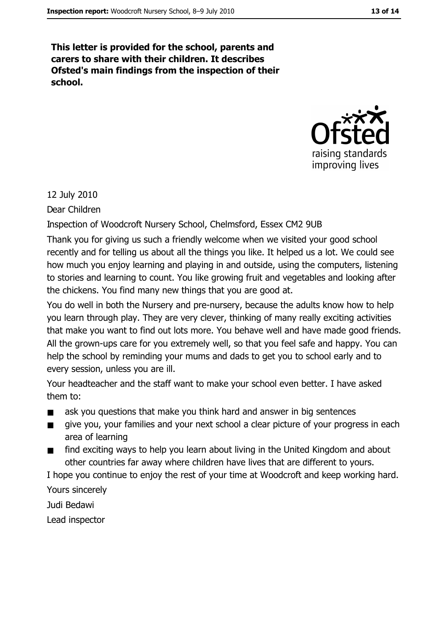This letter is provided for the school, parents and carers to share with their children. It describes Ofsted's main findings from the inspection of their school.



12 July 2010

Dear Children

Inspection of Woodcroft Nursery School, Chelmsford, Essex CM2 9UB

Thank you for giving us such a friendly welcome when we visited your good school recently and for telling us about all the things you like. It helped us a lot. We could see how much you enjoy learning and playing in and outside, using the computers, listening to stories and learning to count. You like growing fruit and vegetables and looking after the chickens. You find many new things that you are good at.

You do well in both the Nursery and pre-nursery, because the adults know how to help you learn through play. They are very clever, thinking of many really exciting activities that make you want to find out lots more. You behave well and have made good friends. All the grown-ups care for you extremely well, so that you feel safe and happy. You can help the school by reminding your mums and dads to get you to school early and to every session, unless you are ill.

Your headteacher and the staff want to make your school even better. I have asked them to:

- ask you questions that make you think hard and answer in big sentences  $\blacksquare$
- give you, your families and your next school a clear picture of your progress in each area of learning
- find exciting ways to help you learn about living in the United Kingdom and about  $\blacksquare$ other countries far away where children have lives that are different to yours.

I hope you continue to enjoy the rest of your time at Woodcroft and keep working hard.

Yours sincerely

Judi Bedawi

Lead inspector